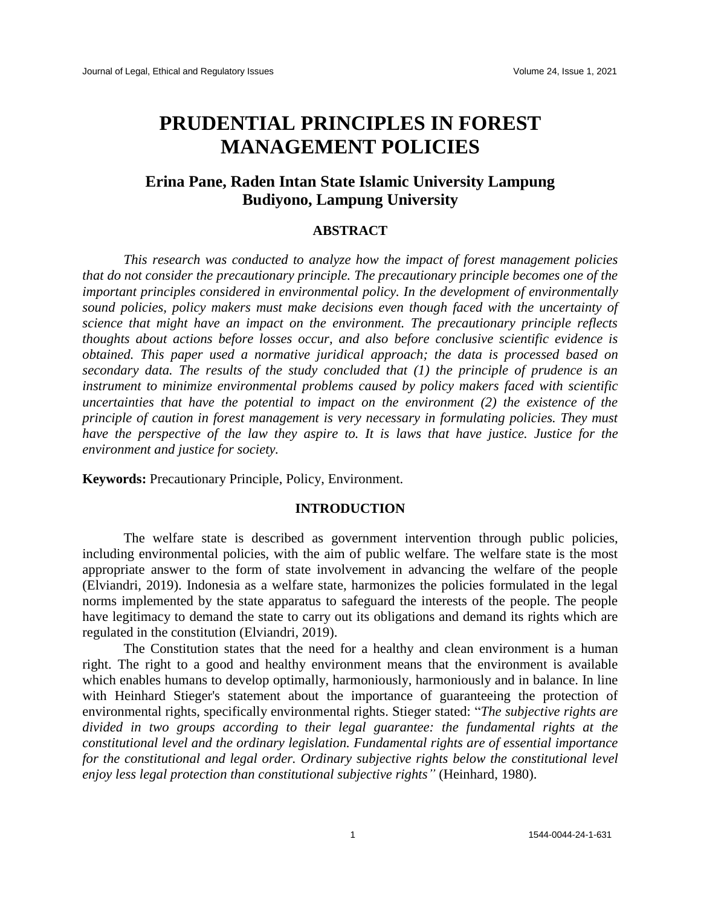# **PRUDENTIAL PRINCIPLES IN FOREST MANAGEMENT POLICIES**

## **Erina Pane, Raden Intan State Islamic University Lampung Budiyono, Lampung University**

#### **ABSTRACT**

*This research was conducted to analyze how the impact of forest management policies that do not consider the precautionary principle. The precautionary principle becomes one of the important principles considered in environmental policy. In the development of environmentally sound policies, policy makers must make decisions even though faced with the uncertainty of science that might have an impact on the environment. The precautionary principle reflects thoughts about actions before losses occur, and also before conclusive scientific evidence is obtained. This paper used a normative juridical approach; the data is processed based on secondary data. The results of the study concluded that (1) the principle of prudence is an instrument to minimize environmental problems caused by policy makers faced with scientific uncertainties that have the potential to impact on the environment (2) the existence of the principle of caution in forest management is very necessary in formulating policies. They must have the perspective of the law they aspire to. It is laws that have justice. Justice for the environment and justice for society.*

**Keywords:** Precautionary Principle, Policy, Environment.

#### **INTRODUCTION**

The welfare state is described as government intervention through public policies, including environmental policies, with the aim of public welfare. The welfare state is the most appropriate answer to the form of state involvement in advancing the welfare of the people (Elviandri, 2019). Indonesia as a welfare state, harmonizes the policies formulated in the legal norms implemented by the state apparatus to safeguard the interests of the people. The people have legitimacy to demand the state to carry out its obligations and demand its rights which are regulated in the constitution (Elviandri, 2019).

The Constitution states that the need for a healthy and clean environment is a human right. The right to a good and healthy environment means that the environment is available which enables humans to develop optimally, harmoniously, harmoniously and in balance. In line with Heinhard Stieger's statement about the importance of guaranteeing the protection of environmental rights, specifically environmental rights. Stieger stated: "*The subjective rights are divided in two groups according to their legal guarantee: the fundamental rights at the constitutional level and the ordinary legislation. Fundamental rights are of essential importance for the constitutional and legal order. Ordinary subjective rights below the constitutional level enjoy less legal protection than constitutional subjective rights"* (Heinhard, 1980).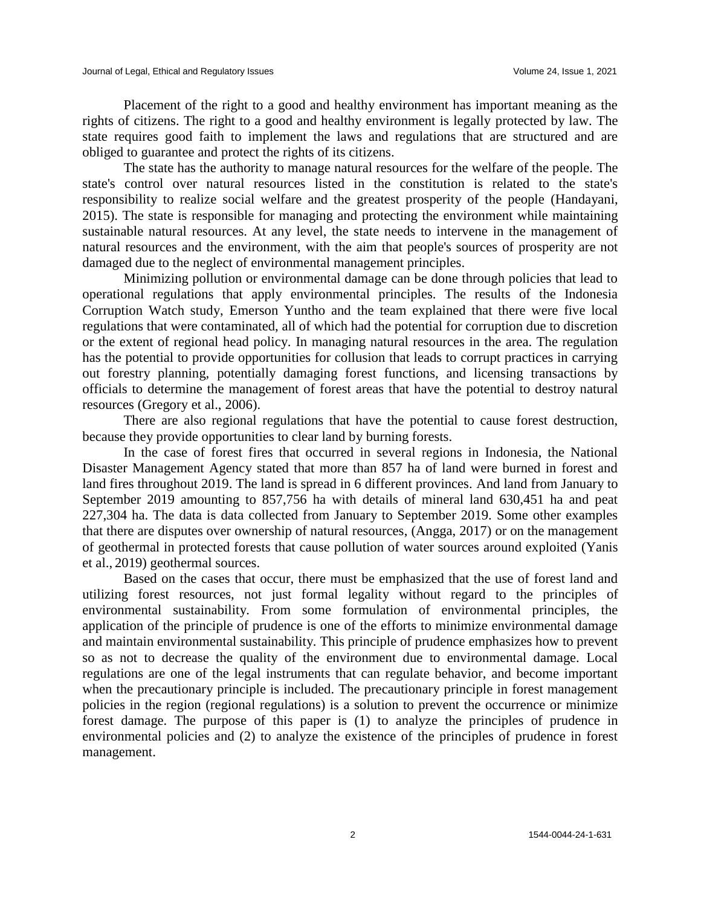Placement of the right to a good and healthy environment has important meaning as the rights of citizens. The right to a good and healthy environment is legally protected by law. The state requires good faith to implement the laws and regulations that are structured and are obliged to guarantee and protect the rights of its citizens.

The state has the authority to manage natural resources for the welfare of the people. The state's control over natural resources listed in the constitution is related to the state's responsibility to realize social welfare and the greatest prosperity of the people (Handayani, 2015). The state is responsible for managing and protecting the environment while maintaining sustainable natural resources. At any level, the state needs to intervene in the management of natural resources and the environment, with the aim that people's sources of prosperity are not damaged due to the neglect of environmental management principles.

Minimizing pollution or environmental damage can be done through policies that lead to operational regulations that apply environmental principles. The results of the Indonesia Corruption Watch study, Emerson Yuntho and the team explained that there were five local regulations that were contaminated, all of which had the potential for corruption due to discretion or the extent of regional head policy. In managing natural resources in the area. The regulation has the potential to provide opportunities for collusion that leads to corrupt practices in carrying out forestry planning, potentially damaging forest functions, and licensing transactions by officials to determine the management of forest areas that have the potential to destroy natural resources (Gregory et al., 2006).

There are also regional regulations that have the potential to cause forest destruction, because they provide opportunities to clear land by burning forests.

In the case of forest fires that occurred in several regions in Indonesia, the National Disaster Management Agency stated that more than 857 ha of land were burned in forest and land fires throughout 2019. The land is spread in 6 different provinces. And land from January to September 2019 amounting to 857,756 ha with details of mineral land 630,451 ha and peat 227,304 ha. The data is data collected from January to September 2019. Some other examples that there are disputes over ownership of natural resources, (Angga, 2017) or on the management of geothermal in protected forests that cause pollution of water sources around exploited (Yanis et al., 2019) geothermal sources.

Based on the cases that occur, there must be emphasized that the use of forest land and utilizing forest resources, not just formal legality without regard to the principles of environmental sustainability. From some formulation of environmental principles, the application of the principle of prudence is one of the efforts to minimize environmental damage and maintain environmental sustainability. This principle of prudence emphasizes how to prevent so as not to decrease the quality of the environment due to environmental damage. Local regulations are one of the legal instruments that can regulate behavior, and become important when the precautionary principle is included. The precautionary principle in forest management policies in the region (regional regulations) is a solution to prevent the occurrence or minimize forest damage. The purpose of this paper is (1) to analyze the principles of prudence in environmental policies and (2) to analyze the existence of the principles of prudence in forest management.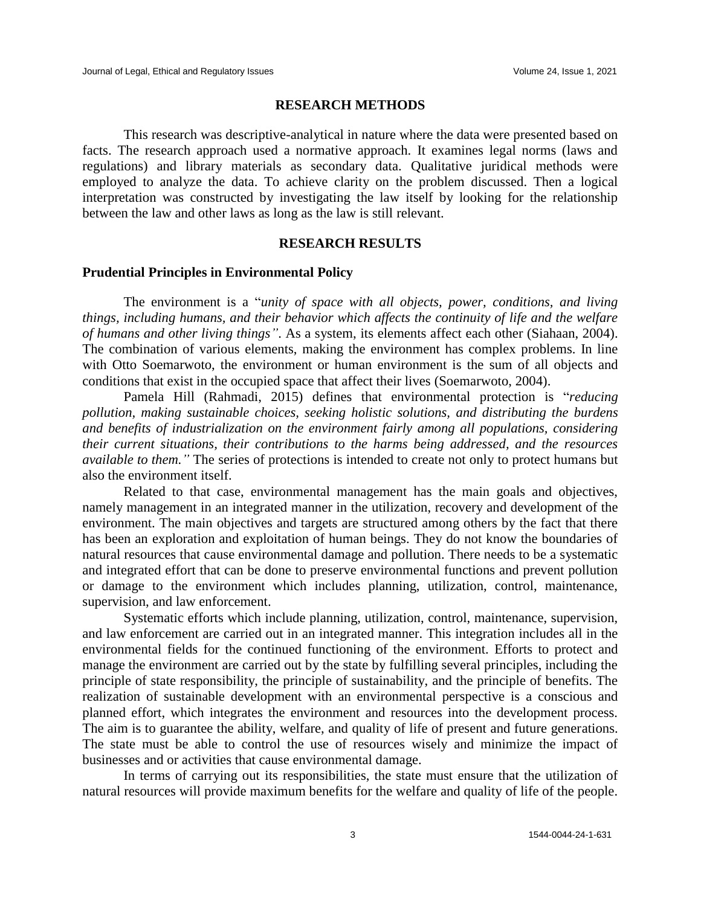#### **RESEARCH METHODS**

This research was descriptive-analytical in nature where the data were presented based on facts. The research approach used a normative approach. It examines legal norms (laws and regulations) and library materials as secondary data. Qualitative juridical methods were employed to analyze the data. To achieve clarity on the problem discussed. Then a logical interpretation was constructed by investigating the law itself by looking for the relationship between the law and other laws as long as the law is still relevant.

#### **RESEARCH RESULTS**

#### **Prudential Principles in Environmental Policy**

The environment is a "*unity of space with all objects, power, conditions, and living things, including humans, and their behavior which affects the continuity of life and the welfare of humans and other living things"*. As a system, its elements affect each other (Siahaan, 2004). The combination of various elements, making the environment has complex problems. In line with Otto Soemarwoto, the environment or human environment is the sum of all objects and conditions that exist in the occupied space that affect their lives (Soemarwoto, 2004).

Pamela Hill (Rahmadi, 2015) defines that environmental protection is "*reducing pollution, making sustainable choices, seeking holistic solutions, and distributing the burdens and benefits of industrialization on the environment fairly among all populations, considering their current situations, their contributions to the harms being addressed, and the resources available to them."* The series of protections is intended to create not only to protect humans but also the environment itself.

Related to that case, environmental management has the main goals and objectives, namely management in an integrated manner in the utilization, recovery and development of the environment. The main objectives and targets are structured among others by the fact that there has been an exploration and exploitation of human beings. They do not know the boundaries of natural resources that cause environmental damage and pollution. There needs to be a systematic and integrated effort that can be done to preserve environmental functions and prevent pollution or damage to the environment which includes planning, utilization, control, maintenance, supervision, and law enforcement.

Systematic efforts which include planning, utilization, control, maintenance, supervision, and law enforcement are carried out in an integrated manner. This integration includes all in the environmental fields for the continued functioning of the environment. Efforts to protect and manage the environment are carried out by the state by fulfilling several principles, including the principle of state responsibility, the principle of sustainability, and the principle of benefits. The realization of sustainable development with an environmental perspective is a conscious and planned effort, which integrates the environment and resources into the development process. The aim is to guarantee the ability, welfare, and quality of life of present and future generations. The state must be able to control the use of resources wisely and minimize the impact of businesses and or activities that cause environmental damage.

In terms of carrying out its responsibilities, the state must ensure that the utilization of natural resources will provide maximum benefits for the welfare and quality of life of the people.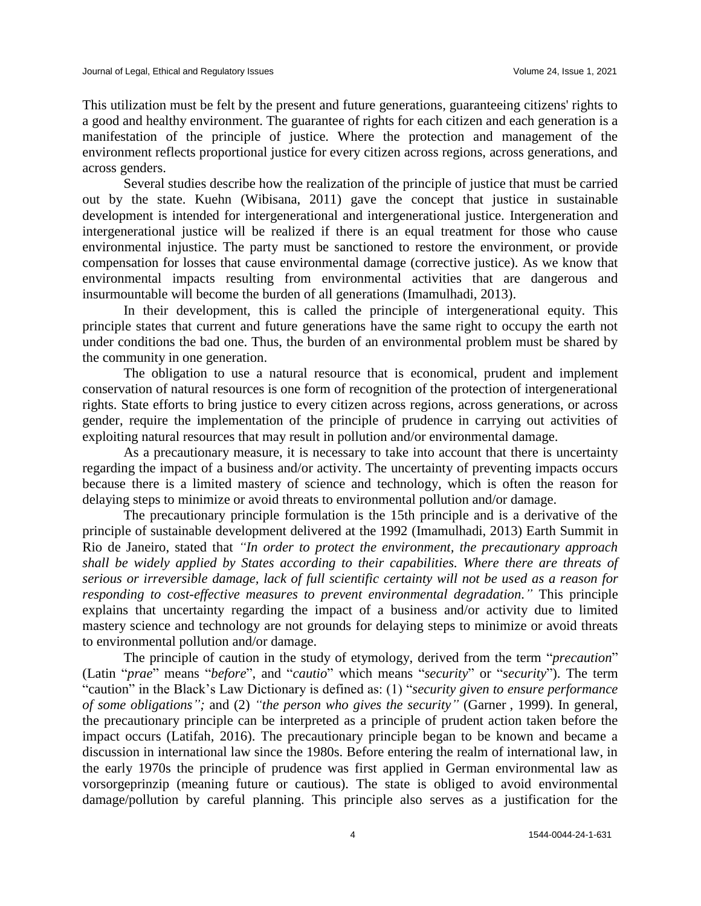This utilization must be felt by the present and future generations, guaranteeing citizens' rights to a good and healthy environment. The guarantee of rights for each citizen and each generation is a manifestation of the principle of justice. Where the protection and management of the environment reflects proportional justice for every citizen across regions, across generations, and across genders.

Several studies describe how the realization of the principle of justice that must be carried out by the state. Kuehn (Wibisana, 2011) gave the concept that justice in sustainable development is intended for intergenerational and intergenerational justice. Intergeneration and intergenerational justice will be realized if there is an equal treatment for those who cause environmental injustice. The party must be sanctioned to restore the environment, or provide compensation for losses that cause environmental damage (corrective justice). As we know that environmental impacts resulting from environmental activities that are dangerous and insurmountable will become the burden of all generations (Imamulhadi, 2013).

In their development, this is called the principle of intergenerational equity. This principle states that current and future generations have the same right to occupy the earth not under conditions the bad one. Thus, the burden of an environmental problem must be shared by the community in one generation.

The obligation to use a natural resource that is economical, prudent and implement conservation of natural resources is one form of recognition of the protection of intergenerational rights. State efforts to bring justice to every citizen across regions, across generations, or across gender, require the implementation of the principle of prudence in carrying out activities of exploiting natural resources that may result in pollution and/or environmental damage.

As a precautionary measure, it is necessary to take into account that there is uncertainty regarding the impact of a business and/or activity. The uncertainty of preventing impacts occurs because there is a limited mastery of science and technology, which is often the reason for delaying steps to minimize or avoid threats to environmental pollution and/or damage.

The precautionary principle formulation is the 15th principle and is a derivative of the principle of sustainable development delivered at the 1992 (Imamulhadi, 2013) Earth Summit in Rio de Janeiro, stated that *"In order to protect the environment, the precautionary approach shall be widely applied by States according to their capabilities. Where there are threats of serious or irreversible damage, lack of full scientific certainty will not be used as a reason for responding to cost-effective measures to prevent environmental degradation."* This principle explains that uncertainty regarding the impact of a business and/or activity due to limited mastery science and technology are not grounds for delaying steps to minimize or avoid threats to environmental pollution and/or damage.

The principle of caution in the study of etymology, derived from the term "*precaution*" (Latin "*prae*" means "*before*", and "*cautio*" which means "*security*" or "*security*"). The term "caution" in the Black's Law Dictionary is defined as: (1) "*security given to ensure performance of some obligations";* and (2) *"the person who gives the security"* (Garner , 1999). In general, the precautionary principle can be interpreted as a principle of prudent action taken before the impact occurs (Latifah, 2016). The precautionary principle began to be known and became a discussion in international law since the 1980s. Before entering the realm of international law, in the early 1970s the principle of prudence was first applied in German environmental law as vorsorgeprinzip (meaning future or cautious). The state is obliged to avoid environmental damage/pollution by careful planning. This principle also serves as a justification for the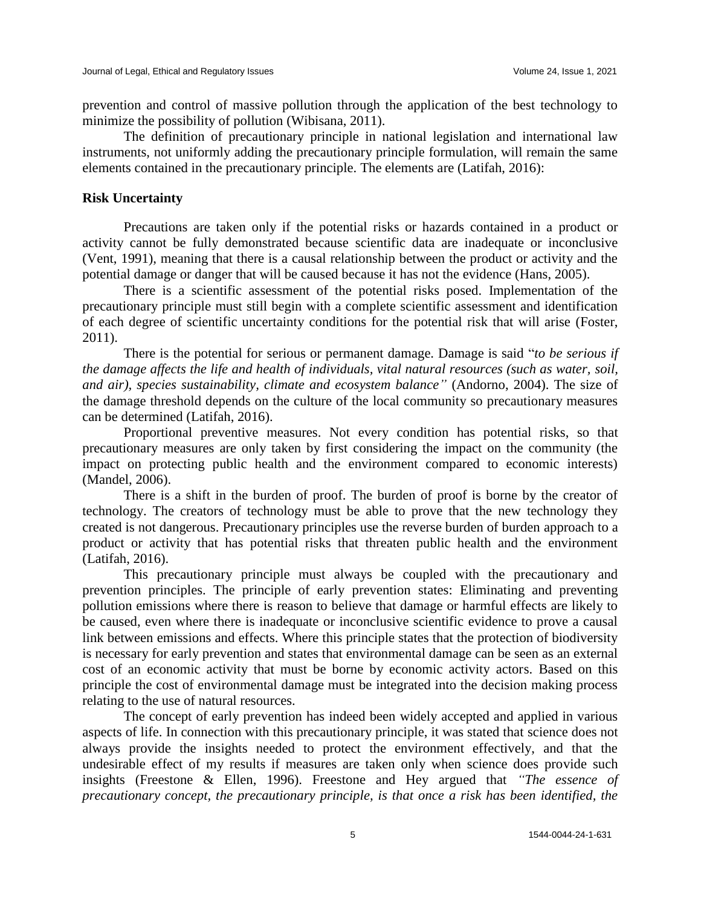prevention and control of massive pollution through the application of the best technology to minimize the possibility of pollution (Wibisana, 2011).

The definition of precautionary principle in national legislation and international law instruments, not uniformly adding the precautionary principle formulation, will remain the same elements contained in the precautionary principle. The elements are (Latifah, 2016):

### **Risk Uncertainty**

Precautions are taken only if the potential risks or hazards contained in a product or activity cannot be fully demonstrated because scientific data are inadequate or inconclusive (Vent, 1991), meaning that there is a causal relationship between the product or activity and the potential damage or danger that will be caused because it has not the evidence (Hans, 2005).

There is a scientific assessment of the potential risks posed. Implementation of the precautionary principle must still begin with a complete scientific assessment and identification of each degree of scientific uncertainty conditions for the potential risk that will arise (Foster, 2011).

There is the potential for serious or permanent damage. Damage is said "*to be serious if the damage affects the life and health of individuals, vital natural resources (such as water, soil, and air), species sustainability, climate and ecosystem balance"* (Andorno, 2004). The size of the damage threshold depends on the culture of the local community so precautionary measures can be determined (Latifah, 2016).

Proportional preventive measures. Not every condition has potential risks, so that precautionary measures are only taken by first considering the impact on the community (the impact on protecting public health and the environment compared to economic interests) (Mandel, 2006).

There is a shift in the burden of proof. The burden of proof is borne by the creator of technology. The creators of technology must be able to prove that the new technology they created is not dangerous. Precautionary principles use the reverse burden of burden approach to a product or activity that has potential risks that threaten public health and the environment (Latifah, 2016).

This precautionary principle must always be coupled with the precautionary and prevention principles. The principle of early prevention states: Eliminating and preventing pollution emissions where there is reason to believe that damage or harmful effects are likely to be caused, even where there is inadequate or inconclusive scientific evidence to prove a causal link between emissions and effects. Where this principle states that the protection of biodiversity is necessary for early prevention and states that environmental damage can be seen as an external cost of an economic activity that must be borne by economic activity actors. Based on this principle the cost of environmental damage must be integrated into the decision making process relating to the use of natural resources.

The concept of early prevention has indeed been widely accepted and applied in various aspects of life. In connection with this precautionary principle, it was stated that science does not always provide the insights needed to protect the environment effectively, and that the undesirable effect of my results if measures are taken only when science does provide such insights (Freestone & Ellen, 1996). Freestone and Hey argued that *"The essence of precautionary concept, the precautionary principle, is that once a risk has been identified, the*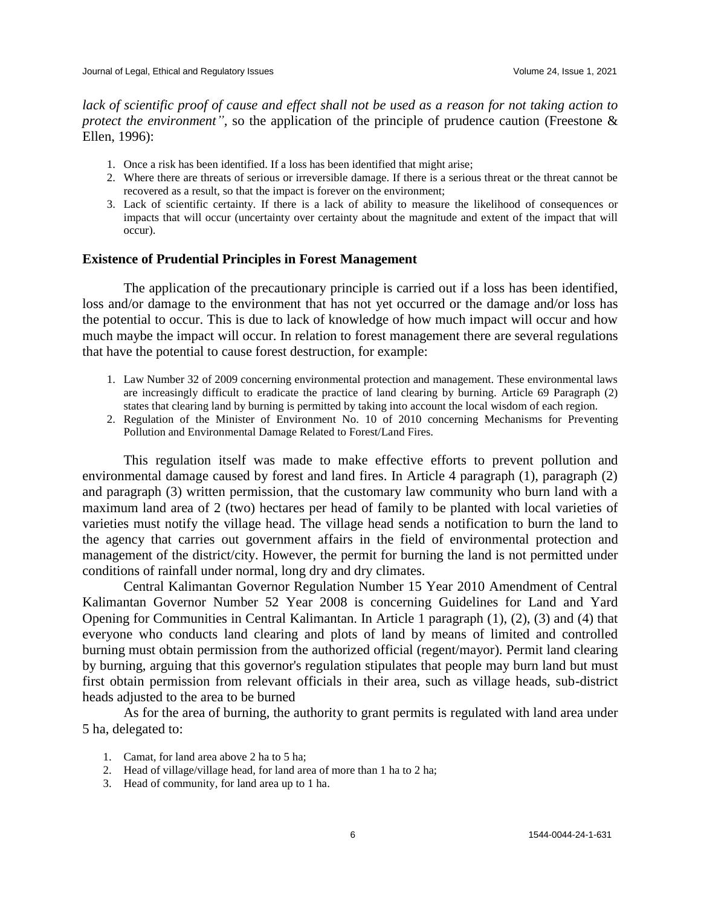*lack of scientific proof of cause and effect shall not be used as a reason for not taking action to protect the environment"*, so the application of the principle of prudence caution (Freestone & Ellen, 1996):

- 1. Once a risk has been identified. If a loss has been identified that might arise;
- 2. Where there are threats of serious or irreversible damage. If there is a serious threat or the threat cannot be recovered as a result, so that the impact is forever on the environment;
- 3. Lack of scientific certainty. If there is a lack of ability to measure the likelihood of consequences or impacts that will occur (uncertainty over certainty about the magnitude and extent of the impact that will occur).

### **Existence of Prudential Principles in Forest Management**

The application of the precautionary principle is carried out if a loss has been identified, loss and/or damage to the environment that has not yet occurred or the damage and/or loss has the potential to occur. This is due to lack of knowledge of how much impact will occur and how much maybe the impact will occur. In relation to forest management there are several regulations that have the potential to cause forest destruction, for example:

- 1. Law Number 32 of 2009 concerning environmental protection and management. These environmental laws are increasingly difficult to eradicate the practice of land clearing by burning. Article 69 Paragraph (2) states that clearing land by burning is permitted by taking into account the local wisdom of each region.
- 2. Regulation of the Minister of Environment No. 10 of 2010 concerning Mechanisms for Preventing Pollution and Environmental Damage Related to Forest/Land Fires.

This regulation itself was made to make effective efforts to prevent pollution and environmental damage caused by forest and land fires. In Article 4 paragraph (1), paragraph (2) and paragraph (3) written permission, that the customary law community who burn land with a maximum land area of 2 (two) hectares per head of family to be planted with local varieties of varieties must notify the village head. The village head sends a notification to burn the land to the agency that carries out government affairs in the field of environmental protection and management of the district/city. However, the permit for burning the land is not permitted under conditions of rainfall under normal, long dry and dry climates.

Central Kalimantan Governor Regulation Number 15 Year 2010 Amendment of Central Kalimantan Governor Number 52 Year 2008 is concerning Guidelines for Land and Yard Opening for Communities in Central Kalimantan. In Article 1 paragraph (1), (2), (3) and (4) that everyone who conducts land clearing and plots of land by means of limited and controlled burning must obtain permission from the authorized official (regent/mayor). Permit land clearing by burning, arguing that this governor's regulation stipulates that people may burn land but must first obtain permission from relevant officials in their area, such as village heads, sub-district heads adjusted to the area to be burned

As for the area of burning, the authority to grant permits is regulated with land area under 5 ha, delegated to:

- 1. Camat, for land area above 2 ha to 5 ha;
- 2. Head of village/village head, for land area of more than 1 ha to 2 ha;
- 3. Head of community, for land area up to 1 ha.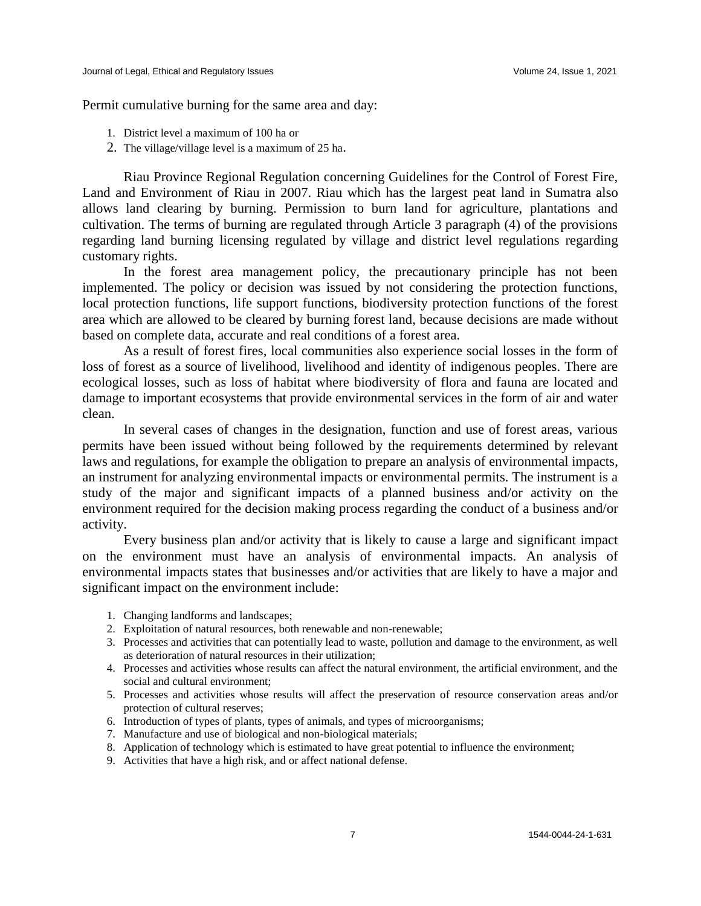Permit cumulative burning for the same area and day:

- 1. District level a maximum of 100 ha or
- 2. The village/village level is a maximum of 25 ha.

Riau Province Regional Regulation concerning Guidelines for the Control of Forest Fire, Land and Environment of Riau in 2007. Riau which has the largest peat land in Sumatra also allows land clearing by burning. Permission to burn land for agriculture, plantations and cultivation. The terms of burning are regulated through Article 3 paragraph (4) of the provisions regarding land burning licensing regulated by village and district level regulations regarding customary rights.

In the forest area management policy, the precautionary principle has not been implemented. The policy or decision was issued by not considering the protection functions, local protection functions, life support functions, biodiversity protection functions of the forest area which are allowed to be cleared by burning forest land, because decisions are made without based on complete data, accurate and real conditions of a forest area.

As a result of forest fires, local communities also experience social losses in the form of loss of forest as a source of livelihood, livelihood and identity of indigenous peoples. There are ecological losses, such as loss of habitat where biodiversity of flora and fauna are located and damage to important ecosystems that provide environmental services in the form of air and water clean.

In several cases of changes in the designation, function and use of forest areas, various permits have been issued without being followed by the requirements determined by relevant laws and regulations, for example the obligation to prepare an analysis of environmental impacts, an instrument for analyzing environmental impacts or environmental permits. The instrument is a study of the major and significant impacts of a planned business and/or activity on the environment required for the decision making process regarding the conduct of a business and/or activity.

Every business plan and/or activity that is likely to cause a large and significant impact on the environment must have an analysis of environmental impacts. An analysis of environmental impacts states that businesses and/or activities that are likely to have a major and significant impact on the environment include:

- 1. Changing landforms and landscapes;
- 2. Exploitation of natural resources, both renewable and non-renewable;
- 3. Processes and activities that can potentially lead to waste, pollution and damage to the environment, as well as deterioration of natural resources in their utilization;
- 4. Processes and activities whose results can affect the natural environment, the artificial environment, and the social and cultural environment;
- 5. Processes and activities whose results will affect the preservation of resource conservation areas and/or protection of cultural reserves;
- 6. Introduction of types of plants, types of animals, and types of microorganisms;
- 7. Manufacture and use of biological and non-biological materials;
- 8. Application of technology which is estimated to have great potential to influence the environment;
- 9. Activities that have a high risk, and or affect national defense.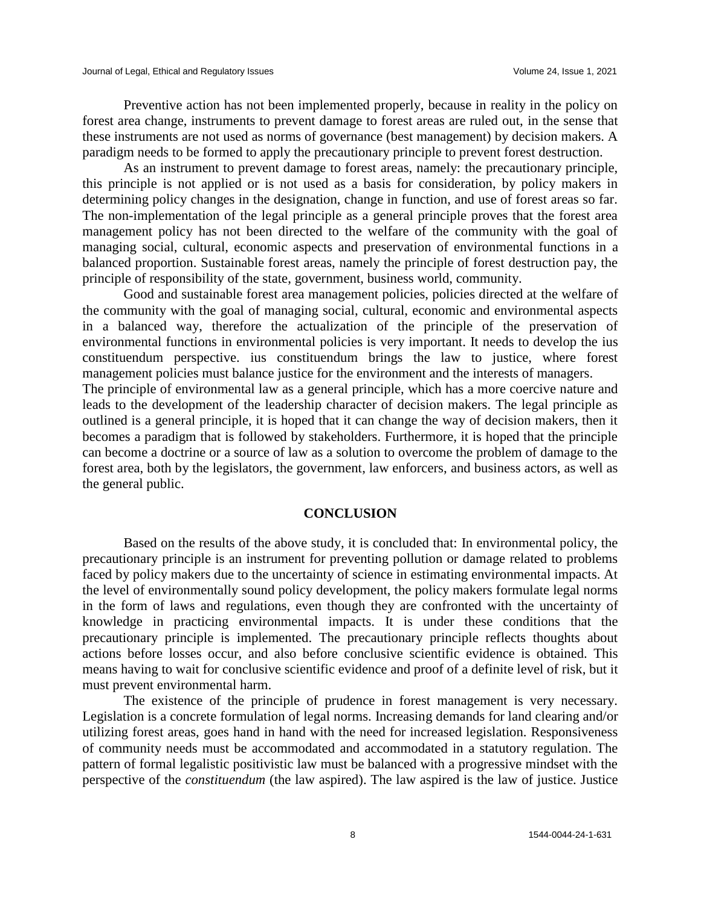Preventive action has not been implemented properly, because in reality in the policy on forest area change, instruments to prevent damage to forest areas are ruled out, in the sense that these instruments are not used as norms of governance (best management) by decision makers. A paradigm needs to be formed to apply the precautionary principle to prevent forest destruction.

As an instrument to prevent damage to forest areas, namely: the precautionary principle, this principle is not applied or is not used as a basis for consideration, by policy makers in determining policy changes in the designation, change in function, and use of forest areas so far. The non-implementation of the legal principle as a general principle proves that the forest area management policy has not been directed to the welfare of the community with the goal of managing social, cultural, economic aspects and preservation of environmental functions in a balanced proportion. Sustainable forest areas, namely the principle of forest destruction pay, the principle of responsibility of the state, government, business world, community.

Good and sustainable forest area management policies, policies directed at the welfare of the community with the goal of managing social, cultural, economic and environmental aspects in a balanced way, therefore the actualization of the principle of the preservation of environmental functions in environmental policies is very important. It needs to develop the ius constituendum perspective. ius constituendum brings the law to justice, where forest management policies must balance justice for the environment and the interests of managers.

The principle of environmental law as a general principle, which has a more coercive nature and leads to the development of the leadership character of decision makers. The legal principle as outlined is a general principle, it is hoped that it can change the way of decision makers, then it becomes a paradigm that is followed by stakeholders. Furthermore, it is hoped that the principle can become a doctrine or a source of law as a solution to overcome the problem of damage to the forest area, both by the legislators, the government, law enforcers, and business actors, as well as the general public.

#### **CONCLUSION**

Based on the results of the above study, it is concluded that: In environmental policy, the precautionary principle is an instrument for preventing pollution or damage related to problems faced by policy makers due to the uncertainty of science in estimating environmental impacts. At the level of environmentally sound policy development, the policy makers formulate legal norms in the form of laws and regulations, even though they are confronted with the uncertainty of knowledge in practicing environmental impacts. It is under these conditions that the precautionary principle is implemented. The precautionary principle reflects thoughts about actions before losses occur, and also before conclusive scientific evidence is obtained. This means having to wait for conclusive scientific evidence and proof of a definite level of risk, but it must prevent environmental harm.

The existence of the principle of prudence in forest management is very necessary. Legislation is a concrete formulation of legal norms. Increasing demands for land clearing and/or utilizing forest areas, goes hand in hand with the need for increased legislation. Responsiveness of community needs must be accommodated and accommodated in a statutory regulation. The pattern of formal legalistic positivistic law must be balanced with a progressive mindset with the perspective of the *constituendum* (the law aspired). The law aspired is the law of justice. Justice